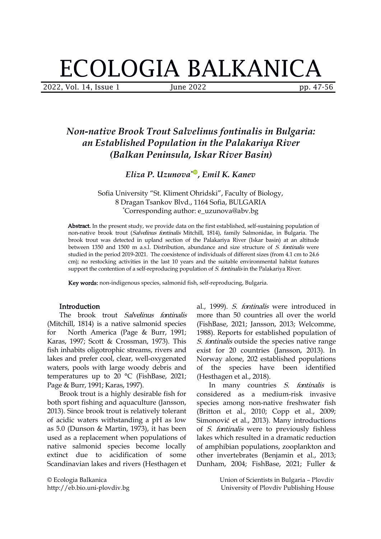# ECOLOGIA BALKANICA

2022, Vol. 14, Issue 1 June 2022 pp. 47-56

# *Non-native Brook Trout Salvelinus fontinalis in Bulgaria: an Established Population in the Palakariya River (Balkan Peninsula, Iskar River Basin)*

*Eliza P. Uzunova \* , Emil K. Kanev*

Sofia University "St. Kliment Ohridski", Faculty of Biology, 8 Dragan Tsankov Blvd., 1164 Sofia, BULGARIA \*Corresponding author: e\_uzunova@abv.bg

Abstract. In the present study, we provide data on the first established, self-sustaining population of non-native brook trout (Salvelinus fontinalis Mitchill, 1814), family Salmonidae, in Bulgaria. The brook trout was detected in upland section of the Palakariya River (Iskar basin) at an altitude between 1350 and 1500 m a.s.l. Distribution, abundance and size structure of S. fontinalis were studied in the period 2019-2021. The coexistence of individuals of different sizes (from 4.1 cm to 24.6 cm); no restocking activities in the last 10 years and the suitable environmental habitat features support the contention of a self-reproducing population of S. fontinalis in the Palakariya River.

Key words: non-indigenous species, salmonid fish, self-reproducing, Bulgaria.

## Introduction

The brook trout Salvelinus fontinalis (Mitchill, 1814) is a native salmonid species for North America (Page & Burr, 1991; Karas, 1997; Scott & Crossman, 1973). This fish inhabits oligotrophic streams, rivers and lakes and prefer cool, clear, well-oxygenated waters, pools with large woody debris and of temperatures up to 20 °C (FishBase, 2021; Page & Burr, 1991; Karas, 1997).

Brook trout is a highly desirable fish for both sport fishing and aquaculture (Jansson, 2013). Since brook trout is relatively tolerant of acidic waters withstanding a pH as low as 5.0 (Dunson & Martin, 1973), it has been used as areplacement when populations of native salmonid species become locally extinct due to acidification of some Scandinavian lakes and rivers (Hesthagen et

© Ecologia Balkanica http://eb.bio.uni-plovdiv.bg

al., 1999). S. fontinalis were introduced in more than 50 countries all over the world (FishBase, 2021; Jansson, 2013; Welcomme, 1988). Reports for established population of S. fontinalis outside the species native range exist for 20 countries (Jansson, 2013). In Norway alone, 202 established populations the species have been identified (Hesthagen et al., 2018).

In many countries S. fontinalis is considered as a medium-risk invasive species among non-native freshwater fish (Britton et al., 2010; Copp et al., 2009; Simonović et al., 2013). Many introductions of S. fontinalis were to previously fishless lakes which resulted in a dramatic reduction of amphibian populations, zooplankton and other invertebrates (Benjamin et al., 2013; Dunham, 2004; FishBase, 2021; Fuller &

> Union of Scientists in Bulgaria – Plovdiv University of Plovdiv Publishing House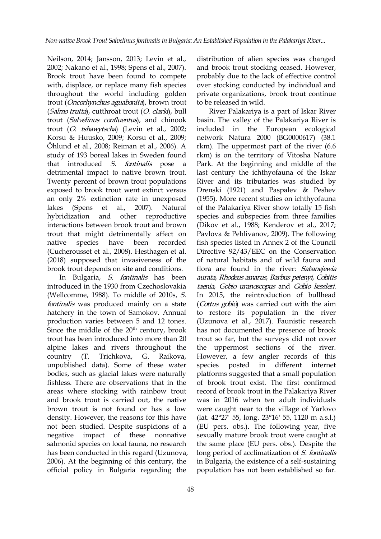Neilson, 2014; Jansson, 2013; Levin et al., 2002; Nakano et al., 1998; Spens et al., 2007). Brook trout have been found to compete with, displace, or replace many fish species throughout the world including golden trout (Oncorhynchus aguabonita), brown trout (Salmo trutta), cutthroat trout (O. clarki), bull trout (Salvelinus confluentus), and chinook trout (O. tshawytscha) (Levin et al., 2002; Korsu & Huusko, 2009; Korsu et al., 2009; Öhlund et al., 2008; Reiman et al., 2006). A study of 193 boreal lakes in Sweden found that introduced S. fontinalis pose a detrimental impact to native brown trout. Twenty percent of brown trout populations exposed to brook trout went extinct versus an only 2% extinction rate in unexposed interactions between brook trout and brown trout that might detrimentally affect on (Cucherousset et al., 2008). Hesthagen et al.(2018) supposed that invasiveness of the brook trout depends on site and conditions.

In Bulgaria, S. fontinalis has been introduced in the 1930 from Czechoslovakia (Wellcomme, 1988). To middle of 2010s, S. fontinalis was produced mainly on a state hatchery in the town of Samokov. Annual production varies between 5 and 12 tones. Since the middle of the 20<sup>th</sup> century, brook trout has been introduced into more than 20 alpine lakes and rivers throughout the country (T. Trichkova, G. Raikova, unpublished data). Some of these water bodies, such as glacial lakes were naturally fishless. There are observations that in the areas where stocking with rainbow trout and brook trout is carried out, the native brown trout is not found or has a low density. However, the reasons for this have not been studied. Despite suspicions of a salmonid species on local fauna, no research has been conducted in this regard (Uzunova, 2006). At the beginning of this century, the official policy in Bulgaria regarding the

distribution of alien species was changed and brook trout stocking ceased. However, probably due to the lack of effective control over stocking conducted by individual and private organizations, brook trout continue to be released in wild.

lakes (Spens et al., 2007). Natural of the Palakariya River show totally 15 fish hybridization and other reproductive species and subspecies from three families native species have been recorded fish species listed in Annex 2 of the Council <sup>th</sup> century, brook has not documented the presence of brook negative impact of these nonnative sexually mature brook trout were caught at River Palakariya is a part of Iskar River basin. The valley of the Palakariya River is in the European ecological network Natura 2000 (BG0000617) (38.1 rkm). The uppermost part of the river (6.6 rkm) is on the territory of Vitosha Nature Park. At the beginning and middle of the [l](https://orcid.org/0000-0003-4130-3211)ast century the ichthyofauna of the Iskar River and its tributaries was studied by Drenski (1921) and Paspalev & Peshev (1955). More recent studies on ichthyofauna (Dikov et al., 1988; Kenderov et al., 2017; Pavlova & Pehlivanov, 2009). The following Directive 92/43/EEC on the Conservation of natural habitats and of wild fauna and flora are found in the river: Sabanejewia aurata, Rhodeus amarus, Barbus petenyi, Cobitis taenia, Gobio uranoscopus and Gobio kessleri. In 2015, the reintroduction of bullhead (*Cottus gobio*) was carried out with the aim to restore its population in the river (Uzunova et al., 2017). Faunistic research trout so far, but the surveys did not cover the uppermost sections of the river. However, a few angler records of this in different internet platforms suggested that a small population of brook trout exist. The first confirmed record of brook trout in the Palakariya River was in 2016 when ten adult individuals were caught near to the village of Yarlovo (lat. 42°27' 55, long. 23°16' 55, 1120 m a.s.l.) (EU pers. obs.). The following year, five the same place (EU pers. obs.). Despite the long period of acclimatization of S. fontinalis in Bulgaria, the existence of a self-sustaining population has not been established so far.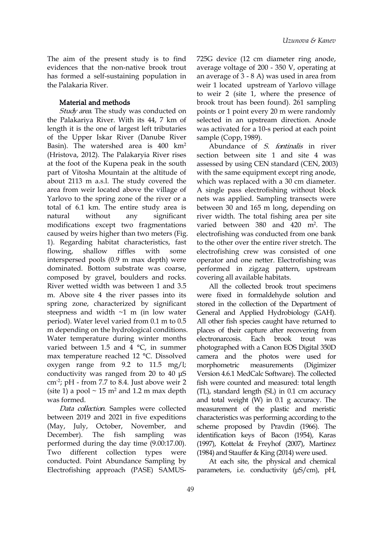The aim of the present study is to find evidences that the non-native brook trout has formed a self-sustaining population in the Palakaria River.

### Material and methods

Study area. The study was conducted on the Palakariya River. With its 44, 7 km of length it is the one of largest left tributaries of the Upper Iskar River (Danube River Basin). The watershed area is  $400 \text{ km}^2$ (Hristova, 2012). The Palakaryia River rises at the foot of the Kupena peak in the south part of Vitosha Mountain at the altitude of about 2113 m a.s.l. The study covered the area from weir located above the village of Yarlovo to the spring zone of the river or a total of 6.1 km. The entire study area is modifications except two fragmentations caused by weirs higher than two meters (Fig. 1). Regarding habitat characteristics, fast interspersed pools (0.9 m max depth) were dominated. Bottom substrate was coarse, composed by gravel, boulders and rocks. River wetted width was between 1 and 3.5 m. Above site 4 the river passes into its spring zone, characterized by significant steepness and width  $\sim$ 1 m (in low water period). Water level varied from 0.1 m to 0.5 m depending on the hydrological conditions. Water temperature during winter months varied between 1.5 and 4 °C, in summer max temperature reached 12 °C. Dissolved oxygen range from 9.2 to 11.5 mg/l; conductivity was ranged from 20 to 40 μS  $\text{cm}^2$ ; pH - from 7.7 to 8.4. Just above weir 2 fish were counted (site 1) a pool  $\sim$  15 m<sup>2</sup> and 1.2 m max depth was formed.

Data collection. Samples were collected between 2019 and 2021 in five expeditions performed during the day time (9.00:17.00). Two different collection types were conducted. Point Abundance Sampling by Electrofishing approach (PASE) SAMUS-

725G device (12 cm diameter ring anode, average voltage of 200 - 350 V, operating at an average of 3 - 8 A) was used in area from weir 1 located upstream of Yarlovo village to weir 2 (site 1, where the presence of brook trout has been found). 261 sampling points or 1 point every 20 m were randomly selected in an upstream direction. Anode was activated for a 10-s period at each point sample (Copp, 1989).

natural without any significant river width. The total fishing area per site flowing, shallow riffles with some electrofishing crew was consisted of one Abundance of S. fontinalis in river section between site 1 and site 4 was assessed by using CEN standard(CEN, 2003) [w](https://orcid.org/0000-0003-4130-3211)ith the same equipment except ring anode, which was replaced with a 30 cm diameter. A single pass electrofishing without block nets was applied. Sampling transects were between 30 and 165 m long, depending on varied between 380 and 420 m<sup>2</sup>. The electrofishing was conducted from one bank to the other over the entire river stretch. The operator and one netter. Electrofishing was performed in zigzag pattern, upstream covering all available habitats.

(May, July, October, November, and scheme proposed by Pravdin (1966). The December). The fish sampling was identification keys of Bacon (1954), Karas All the collected brook trout specimens were fixed in formaldehyde solution and stored in the collection of the Department of General and Applied Hydrobiology (GAH). All other fish species caught have returned to places of their capture after recovering from electronarcosis. Each brook trout was photographed with a Canon EOS Digital 350D camera and the photos were used for measurements (Digimizer Version 4.6.1 MedCalc Software). The collected fish were counted and measured: total length  $(TL)$ , standard length  $(SL)$  in 0.1 cm accuracy and total weight  $(W)$  in 0.1 g accuracy. The measurement of the plastic and meristic characteristics was performing according to the (1997), Kottelat & Freyhof (2007), Martinez (1984) and Stauffer & King (2014) were used.

> At each site, the physical and chemical parameters, i.e. conductivity (μS/cm), pH,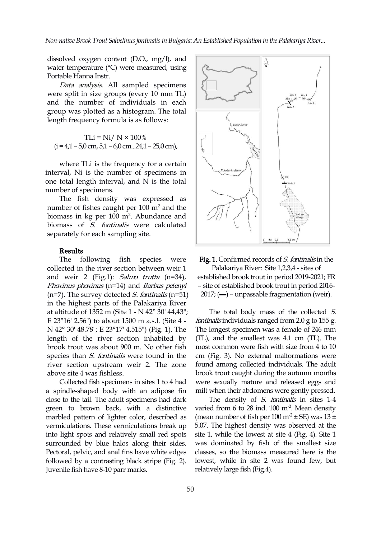*Non-native Brook Trout Salvelinusfontinalisin Bulgaria: AnEstablished Population in the PalakariyaRiver...*

dissolved oxygen content (D.O., mg/l), and water temperature (°C) were measured, using Portable Hanna Instr.

Data analysis. All sampled specimens were split in size groups (every 10 mm TL) and the number of individuals in each group was plotted as ahistogram. The total length frequency formula is as follows:

$$
TLi = Ni / N \times 100\%
$$
  
(i = 4,1 – 5,0 cm, 5,1 – 6,0 cm...24,1 – 25,0 cm),

where TLi is the frequency for a certain interval, Ni is the number of specimens in one total length interval, and N is the total number of specimens.

The fish density was expressed as number of fishes caught per  $100 \text{ m}^2$  and the biomass in kg per 100 m<sup>2</sup>. Abundance and  $\|\angle$ //  $\|\angle$ biomass of *S. fontinalis* were calculated separately for each sampling site.<br>Results

collected in the river section between weir 1 and weir 2 (Fig.1): *Salmo trutta* (n=34), Phoxinus phoxinus (n=14) and Barbus petenyi  $(n=7)$ . The survey detected *S. fontinalis*  $(n=51)$ in the highest parts of the Palakariya River at altitude of 1352 m (Site 1 - N 42° 30' 44,43"; E 23°16' 2.56") to about 1500 m a.s.l. (Site 4 - N 42° 30' 48.78"; E 23°17' 4.515") (Fig. 1). The length of the river section inhabited by brook trout was about 900 m. No other fish species than *S. fontinalis* were found in the river section upstream weir 2. The zone above site 4 was fishless.

Collected fish specimens in sites 1 to 4 had a spindle-shaped body with an adipose fin close to the tail. The adult specimens had dark green to brown back, with a distinctive marbled pattern of lighter color, described as vermiculations. These vermiculations break up into light spots and relatively small red spots surrounded by blue halos along their sides. Pectoral, pelvic, and anal fins have white edges followed by a contrasting black stripe (Fig. 2). Juvenile fish have 8-10 parr marks.



The following fish species were Fig. 1. Confirmed records of S. fontinalis in the Palakariya River: Site 1,2,3,4 - sites of established brook trout in period 2019-2021; FR – site of established brook trout in period 2016-  $2017$ ; ( $\rightarrow$ ) – unpassable fragmentation (weir).

> The total body mass of the collected S. fontinalis individuals ranged from 2.0 g to 155 g. The longest specimen was a female of 246 mm (TL), and the smallest was 4.1 cm (TL). The most common were fish with size from 4 to 10 cm (Fig. 3). No external malformations were found among collected individuals. The adult brook trout caught during the autumn months were sexually mature and released eggs and milt when their abdomens were gently pressed.

The density of S. fontinalis in sites 1-4 varied from 6 to 28 ind. 100 m<sup>-2</sup>. Mean density (mean number of fish per  $100 \text{ m}^2 \pm \text{SE}$ ) was  $13 \pm$ 5.07. The highest density was observed at the site 1, while the lowest at site 4 (Fig. 4). Site 1 was dominated by fish of the smallest size classes, so the biomass measured here is the lowest, while in site 2 was found few, but relatively large fish (Fig.4).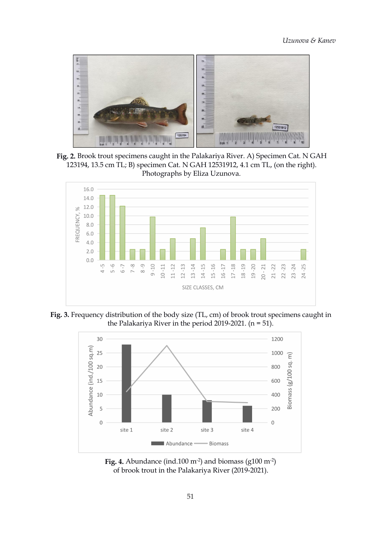

**Fig. 2.** Brook trout specimens caught in the Palakariya River. A) Specimen Cat. N GAH 123194, 13.5 cm TL; B) specimen Cat. N GAH 12531912, 4.1 cm TL, (on the right). Photographs by [El](https://orcid.org/0000-0003-4130-3211)iza Uzunova.



**Fig. 3.** Frequency distribution of the body size (TL, cm) of brook trout specimens caught in the Palakariya River in the period 2019-2021.  $(n = 51)$ .



**Fig. 4.** Abundance (ind.100  $\text{m}^2$ ) and biomass (g100  $\text{m}^2$ ) of brook trout in the Palakariya River (2019-2021).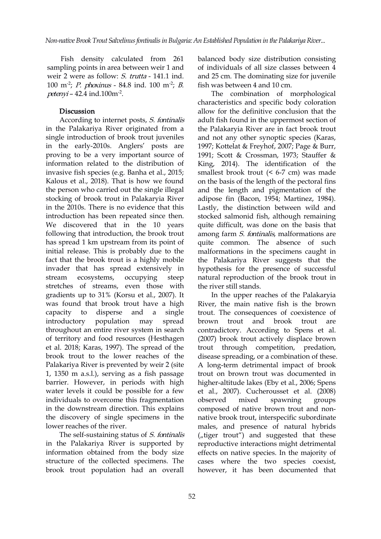Fish density calculated from 261 sampling points in area between weir 1 and weir 2 were as follow: S. trutta - 141.1 ind. 100 m<sup>-2</sup>; *P. phoxinus* - 84.8 ind. 100 m<sup>-2</sup>; *B*. fish was l  $petenvi - 42.4$  ind.100m<sup>-2</sup>. .

# Discussion

According to internet posts, S. fontinalis in the Palakariya River originated from a single introduction of brook trout juveniles in the early-2010s. Anglers' posts are proving to be a very important source of information related to the distribution of invasive fish species (e.g. Banha et al., 2015; Kalous et al., 2018). That is how we found the person who carried out the single illegal stocking of brook trout in Palakaryia River in the 2010s. There is no evidence that this introduction has been repeated since then. We discovered that in the 10 years following that introduction, the brook trout has spread 1 km upstream from its point of initial release. This is probably due to the fact that the brook trout is a highly mobile invader that has spread extensively in stream ecosystems, occupying steep natural reproduction of the brook trout in stretches of streams, even those with gradients up to 31% (Korsu et al., 2007). It was found that brook trout have a high introductory population may spread throughout an entire river system in search of territory and food resources (Hesthagen (2007) brook trout actively displace brown et al.2018; Karas, 1997). The spread of the brook trout to the lower reaches of the Palakariya River is prevented by weir 2 (site 1, 1350 m a.s.l.), serving as a fish passage barrier. However, in periods with high water levels it could be possible for a few individuals to overcome this fragmentation observed mixed in the downstream direction. This explains the discovery of single specimens in the lower reaches of the river.

The self-sustaining status of S. fontinalis in the Palakariya River is supported by information obtained from the body size structure of the collected specimens. The brook trout population had an overall

 $; B.$  fish was between 4 and 10 cm. balanced body size distribution consisting of individuals of all size classes between 4 and 25 cm. The dominating size for juvenile

The combination of morphological characteristics and specific body coloration allow for the definitive conclusion that the adult fish found in the uppermost section of the Palakaryia River are in fact brook trout and not any other synoptic species (Karas, 1997; Kottelat & Freyhof, 2007; Page & Burr, 1991; Scott & Crossman, 1973; Stauffer & King, 2014). The identification of the smallest brook trout (< 6-7 cm) was made on the basis of the length of the pectoral fins and the length and pigmentation of the adipose fin (Bacon, 1954; Martinez, 1984). Lastly, the distinction between wild and stocked salmonid fish, although remaining quite difficult, was done on the basis that among farm *S. fontinalis*, malformations are quite common. The absence of such malformations in the specimens caught in the Palakariya River suggests that the hypothesis for the presence of successful the river still stands.

capacity to disperse and a single trout. The consequences of coexistence of In the upper reaches of the Palakaryia River, the main native fish is the brown trout and brook trout are contradictory. According to Spens et al. trout through competition, predation, disease spreading, or a combination of these. A long-term detrimental impact of brook trout on brown trout was documented in higher-altitude lakes (Eby et al., 2006; Spens et al., 2007). Cucherousset et al. (2008) spawning groups composed of native brown trout and non native brook trout, interspecific subordinate males, and presence of natural hybrids  $(y, t)$  trout") and suggested that these reproductive interactions might detrimental effects on native species. In the majority of cases where the two species coexist, however, it has been documented that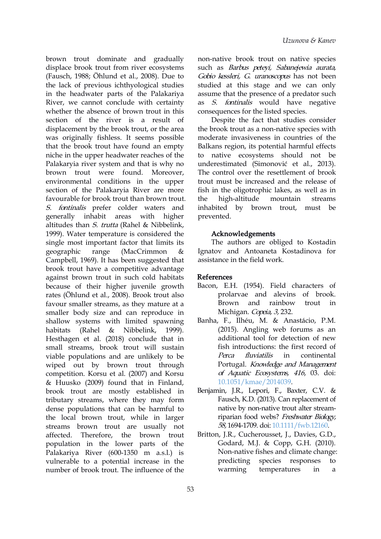brown trout dominate and gradually displace brook trout from river ecosystems (Fausch, 1988; Öhlund et al., 2008). Due to the lack of previous ichthyological studies in the headwater parts of the Palakariya River, we cannot conclude with certainty whether the absence of brown trout in this section of the river is a result of displacement by the brook trout, or the area was originally fishless. It seems possible that the brook trout have found an empty niche in the upper headwater reaches of the Palakaryia river system and that is why no brown trout were found. Moreover, environmental conditions in the upper section of the Palakaryia River are more favourable for brook trout than brown trout. the S. fontinalis prefer colder waters and generally inhabit areas with higher altitudes than S. trutta (Rahel & Nibbelink, 1999). Water temperature is considered the single most important factor that limits its geographic range (MacCrimmon & Ignatov and Antoaneta Kostadinova for Campbell, 1969). It has been suggested that brook trout have a competitive advantage against brown trout in such cold habitats because of their higher juvenile growth rates (Öhlund et al., 2008). Brook trout also favour smaller streams, as they mature at a smaller body size and can reproduce in shallow systems with limited spawning habitats (Rahel & Nibbelink, 1999). Hesthagen et al. (2018) conclude that in small streams, brook trout will sustain viable populations and are unlikely to be *Perca fluviatilis* wiped out by brown trout through competition. Korsu et al.(2007) and Korsu & Huusko (2009) found that in Finland, brook trout are mostly established in tributary streams, where they may form dense populations that can be harmful to the local brown trout, while in larger streams brown trout are usually not affected. Therefore, the brown trout population in the lower parts of the Palakariya River (600-1350 m a.s.l.) is vulnerable to a potential increase in the number of brook trout. The influence of the warming

non-native brook trout on native species such as Barbus peteyi, Sabanejewia aurata, Gobio kessleri, G. uranoscopus has not been studied at this stage and we can only assume that the presence of a predator such as S. fontinalis would have negative consequences for the listed species.

Despite the fact that studies consider the brook trout as a non-native species with moderate invasiveness in countries of the Balkans region, its potential harmful effects to native ecosystems should not be underestimated (Simonović et al., 2013). The control over the resettlement of brook trout must be increased and the release of fish in the oligotrophic lakes, as well as in high-altitude mountain streams inhabited by brown trout, must be prevented.

# Acknowledgements

The authors are obliged to Kostadin assistance in the field work.

# References

- Bacon, E.H. (1954). Field characters of prolarvae and alevins of brook. rainbow trout in Michigan. Copeia, 3, 232.
- Banha, F., Ilhéu, M. & Anastácio, P.M. (2015). Angling web forums as an additional tool for detection of new fish introductions: the first record of in continental Portugal. Knowledge and Management of Aquatic Ecosystems, <sup>416</sup>, 03. doi: [10.1051/kmae/2014039.](https://doi.org/10.1051/kmae/2014039)
- Benjamin, J.R., Lepori, F., Baxter, C.V. & Fausch, K.D. (2013). Can replacement of native by non-native trout alter stream riparian food webs? Freshwater Biology, 58, 1694-1709. doi: [10.1111/fwb.12160](https://doi.org/10.1111/fwb.12160).
- Britton, J.R., Cucherousset, J., Davies, G.D., Godard, M.J. & Copp, G.H. (2010). Non-native fishes and climate change: species responses to temperatures in a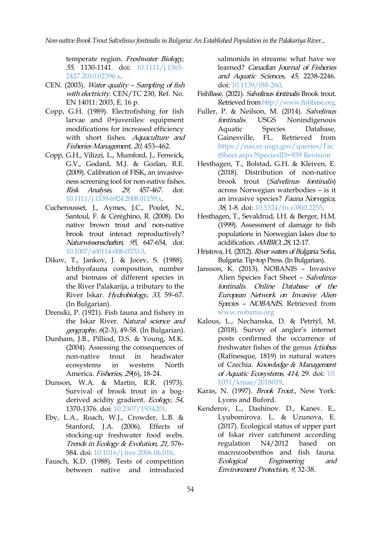*Non-native Brook Trout Salvelinus fontinalis in Bulgaria: An Established Population in the Palakariya River...* 

temperate region. Freshwater Biology, 55, 1130-1141. doi: [10.1111/j.1365-](https://doi.org/10.1111/j.1365-2427.2010.02396.x) 2427.2010.02396.x.

- CEN. (2003). Water quality Sampling of fish with electricity. CEN/TC 230, Ref. No. EN 14011: 2003, E. 16 p.
- Copp, G.H. (1989). Electrofishing for fish larvae and 0+juveniles: equipment modifications for increased efficiency **Aquatic** with short fishes. Aquaculture and Gainesville, Fisheries Management, <sup>20</sup>, 453–462.
- Copp, G.H., Vilizzi, L., Mumford, J., Fenwick, G.V., Godard, M.J. & Gozlan, R.E. (2009). Calibration of FISK, an invasive ness screening tool for non-native fishes. Risk Analysis, 29, 457-467. doi: [10.1111/j.1539-6924.2008.01159.x](https://doi.org/10.1111/j.1539-6924.2008.01159.x).
- Cucherousset, J., Aymes, J.C., Poulet, N., Santoul, F. & Céréghino, R. (2008). Do native brown trout and non-native brook trout interact reproductively? Naturwissenschaften, 95, 647-654. doi: [10.1007/s00114-008-0370-3](https://doi.org/10.1007/s00114-008-0370-3).
- Dikov, T., Jankov, J. & Jocev, S. (1988). Ichthyofauna composition, number and biomass of different species in the River Palakarija, a tributary to the River Iskar. Hydrobiology, 33, 59–67. (In Bulgarian).
- Drenski, P. (1921). Fish fauna and fishery in the Iskar River. Natural science and geography, <sup>6</sup>(2-3), 49-58. (In Bulgarian).
- Dunham, J.B., Pilliod, D.S. & Young, M.K. (2004). Assessing the consequences of non-native trout in headwater America. Fisheries, 29(6), 18-24.
- Dunson, W.A. & Martin, R.R. (1973). Survival of brook trout in a bog derived acidity gradient. Ecology, 54, 1370-1376. doi: [10.2307/1934201.](https://doi.org/10.2307/1934201)
- Eby, L.A., Roach, W.J., Crowder, L.B. & Stanford, J.A. (2006). Effects of stocking-up freshwater food webs. Trends in Ecology & Evolution, 21, 576- 584. doi: [10.1016/j.tree.2006.06.016.](https://doi.org/10.1016/j.tree.2006.06.016)
- Fausch, K.D. (1988). Tests of competition Ecological between native and introduced

salmonids in streams: what have we learned? Canadian Journal of Fisheries and Aquatic Sciences, 45, 2238-2246. doi: [10.1139/f88-260](https://doi.org/10.1139/f88-260).

- FishBase. (2021). Salvelinus fontinalis Brook trout. Retrieved from <http://www.fishbase.org>.
- Fuller, P. & Neilson, M. (2014). Salvelinus USGS Nonindigenous Species Database, FL. Retrieved from [https://nas.er.usgs.gov/queries/Fac](https://nas.er.usgs.gov/queries/FactSheet.aspx?SpeciesID=939 Revision) tSheet.aspx?SpeciesID=939 Revision
- Hesthagen, T., Bolstad, G.H. & Kleiven, E. (2018). Distribution of non-native brook trout (Salvelinus fontinalis) across Norwegian waterbodies – is it an invasive species? Fauna Norvegica, 38, 1-8. doi: [10.5324/fn.v38i0.2255.](https://doi.org/10.5324/fn.v38i0.2255)
- Hesthagen, T., Sevaldrud, I.H. & Berger, H.M. (1999). Assessment of damage to fish populations in Norwegian lakes due to acidification. AMBIO, 28, 12-17.
- Hristova, H. (2012). River waters of Bulgaria. Sofia, Bulgaria:Tip-top Press.(In Bulgarian).
- Jansson, K. (2013). NOBANIS Invasive Alien Species Fact Sheet – Salvelinus fontinalis. Online Database of the European Network on Invasive Alien Species – NOBANIS, Retrieved from [www.nobanis.org](http://www.nobanis.org)
- ecosystems in western North of Czechia. *Knowledge & Management* Kalous, L., Nechanska, D. & Petrtýl, M. (2018). Survey of angler's internet posts confirmed the occurrence of freshwater fishes of the genus Ictiobus (Rafinesque, 1819) in natural waters of Aquatic Ecosystems, 414, 29. doi: [10.](https://doi.org/10. 1051/kmae/2018019) 1051/kmae/2018019.
	- Karas, N. (1997). Brook Trout., New York: Lyons and Buford.
	- Kenderov, L., Dashinov. D., Kanev. E., Lyubomirova. L. & Uzunova, E. (2017). Ecological status of upper part of Iskar river catchment according regulation N4/2012 based on macrozoobenthos and fish fauna. Engineering and Environment Protection, 9, 32-38.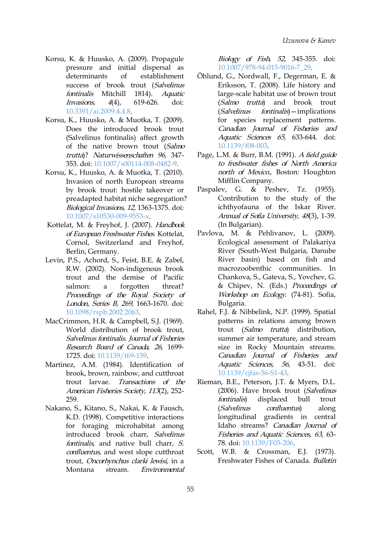- Korsu, K. & Huusko, A. (2009). Propagule pressure and initial dispersal as determinants of establishment success of brook trout (Salvelinus fontinalis Mitchill 1814). Aquatic Invasions, 4(4), 619-626. doi: [10.3391/ai.2009.4.4.8.](https://doi.org/10.3391/ai.2009.4.4.8)
- Korsu, K., Huusko, A. & Muotka, T. (2009). Does the introduced brook trout (Salvelinus fontinalis) affect growth of the native brown trout (Salmo trutta)? Naturwissenschaften 96, 347- 353. doi: [10.1007/s00114-008-0482-9](https://doi.org/10.1007/s00114-008-0482-9).
- Korsu, K., Huusko, A. & Muotka, T. (2010). Invasion of north European streams by brook trout: hostile takeover or Paspalev, G. preadapted habitat niche segregation? Biological Invasions, 12, 1363-1375. doi: [10.1007/s10530-009-9553-x.](https://doi.org/10.1007/s10530-009-9553-x)
- Kottelat, M. & Freyhof, J. (2007). Handbook of European Freshwater Fishes. Kottelat, Cornol, Switzerland and Freyhof, Berlin, Germany.
- Levin, P.S., Achord, S., Feist, B.E. & Zabel, R.W. (2002). Non-indigenous brook trout and the demise of Pacific salmon: a forgotten threat? Proceedings of the Royal Society of London, Series B, 269, 1663-1670. doi: [10.1098/rspb.2002.2063.](https://doi.org/10.1098/rspb.2002.2063)
- MacCrimmon, H.R. & Campbell, S.J. (1969). World distribution of brook trout, Salvelinus fontinalis. Journal of Fisheries Research Board of Canada, 26, 1699- 1725. doi: [10.1139/f69-159](https://doi.org/10.1139/f69-159).
- Martinez, A.M. (1984). Identification of brook, brown, rainbow, and cutthroat trout larvae. Transactions of the American Fisheries Society, <sup>113</sup>(2), 252- 259.
- Nakano, S., Kitano, S., Nakai, K. & Fausch, K.D. (1998). Competitive interactions for foraging microhabitat among introduced brook charr, Salvelinus fontinalis, and native bull charr, S. confluentus, and west slope cutthroat trout, Oncorhynchus clarki lewisi, in a Montana stream. Environmental

Biology of Fish, <sup>52</sup>, 345-355. doi: [10.1007/978-94-015-9016-7\\_29.](https://doi.org/10.1007/978-94-015-9016-7_29)

- Öhlund, G., Nordwall, F., Degerman, E. & Eriksson, T. (2008). Life history and large-scale habitat use of brown trout (Salmo trutta) and brook trout (Salvelinus fontinalis)—implications for species replacement patterns. Canadian Journal of Fisheries and Aquatic Sciences 65, 633-644. doi: [10.1139/f08-003.](https://doi.org/10.1139/f08-003)
- Page, L.M. & Burr, B.M. (1991). <sup>A</sup> field guide to freshwater fishes of North America north of Mexico., Boston: Houghton Mifflin Company.
- & Peshev, Tz. (1955). Contribution to the study of the ichthyofauna of the Iskar River. Annual of Sofia University, <sup>48</sup>(3), 1-39. (In Bulgarian).
- Pavlova, M. & Pehlivanov, L. (2009). Еcological assessment of Palakariya River (South-West Bulgaria, Danube River basin) based on fish and macrozoobenthic communities. In Chankova, S., Gateva, S., Yovchev, G. & Chipev, N. (Eds.) Proceedings of Workshop on Ecology. (74-81). Sofia, Bulgaria.
- Rahel, F.J. & Nibbelink, N.P. (1999). Spatial patterns in relations among brown trout (Salmo trutta) distribution, summer air temperature, and stream size in Rocky Mountain streams. Canadian Journal of Fisheries and Aquatic Sciences, 56, 43-51. doi: [10.1139/cjfas-56-S1-43.](https://doi.org/10.1139/cjfas-56-S1-43)
- Rieman, B.E., Peterson, J.T. & Myers, D.L. (2006). Have brook trout (Salvelinus fontinalis) displaced bull trout confluentus) along longitudinal gradients in central Idaho streams? Canadian Journal of Fisheries and Aquatic Sciences, 63, 63- 78. doi: [10.1139/F05-206](https://doi.org/10.1139/F05-206).
- Scott, W.B. & Crossman, E.J. (1973). Freshwater Fishes of Canada. Bulletin